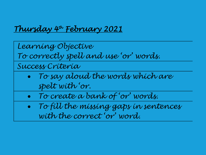## *Thursday 4th February 2021*

*Learning Objective To correctly spell and use 'or' words. Success Criteria Self-Assessment*

- 0 *To say aloud the words which are spelt with 'or.*
- *To create a bank of 'or' words.*
- 0 *To fill the missing gaps in sentences with the correct 'or' word.*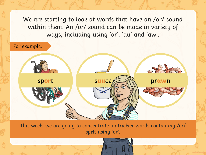We are starting to look at words that have an /or/ sound within them. An /or/ sound can be made in variety of ways, including using 'or', 'au' and 'aw'.

For example:



This week, we are going to concentrate on trickier words containing /or/ spelt using 'or'.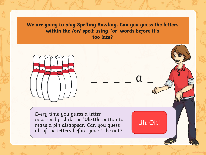**We are going to play Spelling Bowling. Can you guess the letters within the /or/ spelt using 'or' words before it's too late?**

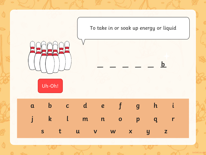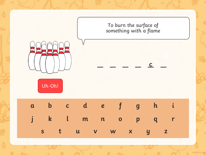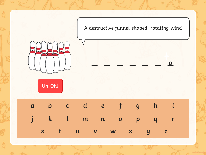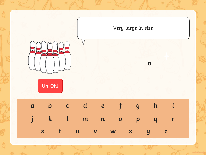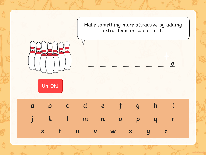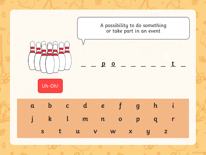